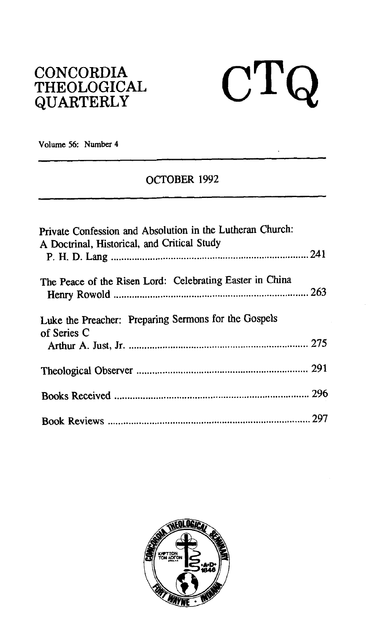## **CONCORDIA THEOLOGICAL QUARTERLY**



**Volume 56: Number 4**  - - --

## **OCTOBER 1992**

| Private Confession and Absolution in the Lutheran Church:<br>A Doctrinal, Historical, and Critical Study |  |
|----------------------------------------------------------------------------------------------------------|--|
| The Peace of the Risen Lord: Celebrating Easter in China                                                 |  |
| Luke the Preacher: Preparing Sermons for the Gospels<br>of Series C                                      |  |
|                                                                                                          |  |
|                                                                                                          |  |
|                                                                                                          |  |

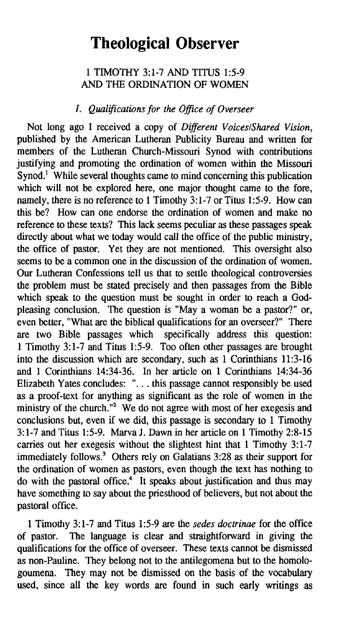# **Theological Observer**

## 1 TIMOTHY 3: 1-7 AND TITUS 1:5-9 AND THE ORDINATION OF WOMEN

#### *I. Qualifications for the Office of Overseer*

Not long ago I received a copy of *Different VoiceslShared Vision,*  published by the American Lutheran Publicity Bureau and written for members of the Lutheran Church-Missouri Synod with contributions justifying and promoting the ordination of women within the Missouri Synod.<sup>1</sup> While several thoughts came to mind concerning this publication which will not be explored here, one major thought came to the fore, namely, there is no reference to 1 Timothy 3:1-7 or Titus 1:5-9. How can this be? How can one endorse the ordination of women and make no reference to these texts? This lack seems peculiar as these passages speak directly about what we today would call the office of the public ministry, the office of pastor. Yet they are not mentioned. This oversight also seems to be a common one in the discussion of the ordination of women. Our Lutheran Confessions tell us that to settle theological controversies the problem must be stated precisely and then passages from the Bible which speak to the question must be sought in order **to** reach a Godpleasing conclusion. The question is "May a woman be a pastor?" or, even better, "What are the biblical qualifications for an overseer?" There are two Bible passages which specifically address this question: 1 Timothy 3:l-7 and Titus 15-9. Too often other passages are brought into the discussion which are secondary, such as 1 Corinthians 11:3-16 and 1 Corinthians 14:34-36. In her article on 1 Corinthians 14:34-36 Elizabeth Yates concludes: ". . . this passage cannot responsibly be used as a proof-text for anything as significant as the role of women in the ministry of the church."<sup>2</sup> We do not agree with most of her exegesis and conclusions but, even if we did, this passage is secondary to 1 Timothy  $3:1-7$  and Titus 1:5-9. Marva J. Dawn in her article on 1 Timothy 2:8-15 carries out her exegesis without the slightest hint that 1 Timothy 3:l-7 immediately follows.<sup>3</sup> Others rely on Galatians  $3:28$  as their support for the ordination of women as pastors, even though the text has nothing to do with the pastoral office. $4\overline{ }$  It speaks about justification and thus may have something to say about the priesthood of believers, but not about the pastoral office.

1 Timothy 3:l-7 and Titus 1:5-9 are the *sedes doctrinae* for the office of pastor. The language is clear and straightforward in giving the qualifications for the office of overseer. These texts cannot be dismissed as non-Pauline. They belong not to the antilegomena but to the homologoumena. They may not be dismissed on the basis of the vocabulary used, since all the key words are found in such early writings as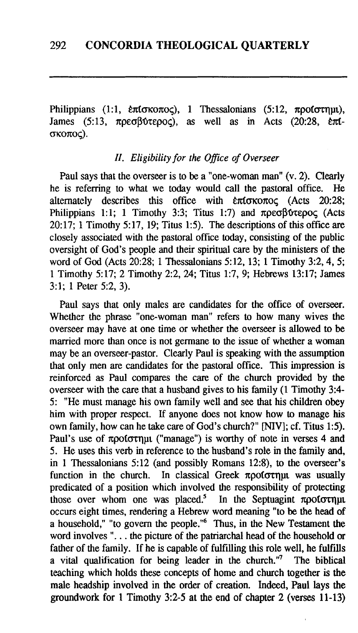Philippians (1:1,  $\ell \pi(\sigma \kappa \sigma \sigma \sigma \varsigma)$ , 1 Thessalonians (5:12,  $\pi \rho \sigma(\sigma \tau \eta \mu \iota)$ , James (5:13,  $\pi \rho \epsilon \sigma \beta \upsilon \tau \epsilon$ ), as well as in Acts (20:28,  $\ell \pi \iota$ - $James (5:13, \pi \rho \epsilon \sigma \beta \alpha \epsilon \rho \rho \sigma)$ , as well as  $\sigma$ ко $\pi$ ос).

## *II. Eligibility for the Office of Overseer*

Paul says that the overseer is to be a "one-woman man"  $(v, 2)$ . Clearly is referring to what we today would call the nastoral office. He he is referring to what we today would call the pastoral office. alternately describes this office with  $\epsilon \pi$  to  $\kappa$  (Acts 20:28; Philippians 1:1; 1 Timothy 3:3; Titus 1:7) and  $\pi \rho \epsilon \sigma \beta \gamma \epsilon \rho o \varsigma$  (Acts 20:17; 1 Timothy 5:17, 19; Titus 1:5). The descriptions of this office are closely associated with the pastoral office today, consisting of the public oversight of God's people and their spiritual care by the ministers of the word of God (Acts 20:28; 1 Thessalonians 5:12, 13; 1 Timothy 3:2,4, 5; 1 Timothy 5:17; 2 Timothy 2:2,24; Titus 1:7, 9; Hebrews 13:17; James 3:l; 1 Peter 5:2, 3).

Paul says that only males are candidates for the office of overseer. Whether the phrase "one-woman man" refers to how many wives the overseer may have at one time or whether the overseer is allowed to be married more than once is not germane to the issue of whether a woman may be an overseer-pastor. Clearly Paul is speaking with the assumption that only men are candidates for the pastoral office. This impression is reinforced as Paul compares the care of the church provided by the overseer with the care that a husband gives to his family (1 Timothy 3:4- 5: "He must manage his own family well and see that his children obey him with proper respect. If anyone does not know how to manage his own family, how can he take care of God's church?" **[NIV]**; *cf.* Titus 1:5). Paul's use of  $\pi \rho$  of  $\sigma \tau \rho \mu$  ("manage") is worthy of note in verses 4 and 5. He uses this verb in reference to the husband's role in the family and, in **1** Thessalonians 5:12 (and possibly Romans 12:8), to the overseer's function in the church. In classical Greek  $\pi \rho o(\sigma \tau \eta)$  was usually predicated of a position which involved the responsibility of protecting those over whom one was placed.<sup>5</sup> In the Septuagint  $\pi$ pot $\sigma$ tnut occurs eight times, rendering a Hebrew word meaning "to be the head of a household," "to govern the people."<sup>6</sup> Thus, in the New Testament the word involves ". . . the picture of the patriarchal head of the household **or**  father of the family. If he is capable of fulfilling this role well, he fulfills a vital qualification for being leader in the church."<sup>7</sup> The biblical a vital qualification for being leader in the church." $7$ teaching which holds these concepts of home and church together is the male headship involved in the order of creation. Indeed, Paul lays the groundwork for 1 Timothy 3:2-5 at the end of chapter 2 (verses 11-13)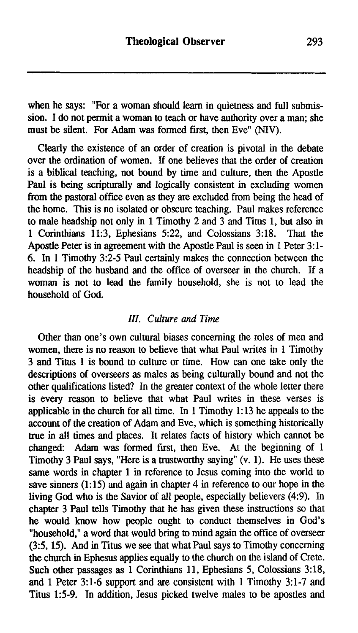when he says: "For a woman should learn in quietness and full submission. I do not permit a woman to teach or have authority over a man; she must be silent. For Adam was formed first, then Eve" **(NIV).** 

Clearly the existence of an order of creation is pivotal in the debate over the ordination of women. If one believes that the order of creation is a biblical teaching, not bound by time and culture, then the Apostle Paul is being scripturally and logically consistent in excluding women from the pastoral office even as they are excluded from being the head of the home. This is no isolated or obscure teaching. Paul makes reference to male headship not only in 1 Timothy 2 and 3 and Titus 1, but also in 1 Corinthians  $11:3$ . Ephesians  $5:22$ , and Colossians  $3:18$ . That the 1 Corinthians 11:3, Ephesians 5:22, and Colossians 3:18. Apostle Peter is in agreement with the Apostle Paul is seen in 1 Peter 3: 1- 6. In 1 Timothy 3:2-5 Paul certainly makes the connection between the headship of the husband and the office of overseer in the church. If a woman is not to lead the family household, she is not to lead the household of God.

#### *III. Culture and Time*

Other than one's own cultural biases concerning the roles of men and women, there is no reason to believe that what Paul writes in 1 Timothy 3 and Titus 1 is bound to culture or time. How can one take only the descriptions of overseers as males as being culturally bound and not the other qualifications listed? In the greater context of the whole letter there is every reason to believe that what Paul writes in these verses is applicable in the church for all time. In 1 Timothy 1:13 he appeals to the account of the creation of Adam and Eve, which is something historically true in all times and places. It relates facts of history which cannot be changed: Adam was formed first, then Eve. At the beginning of 1 Timothy 3 Paul says, "Here is a trustworthy saying" (v. 1). He uses these same words in chapter 1 in reference to Jesus coming into the world to save sinners  $(1:15)$  and again in chapter 4 in reference to our hope in the living God who is the Savior of all people, especially believers **(4:9).** In chapter 3 Paul tells Timothy that he has given these instructions so that he would know how people ought to conduct themselves in God's "household," a word that would bring to mind again the office of overseer (3:5,15). And in Titus we see that what Paul says to Timothy concerning the church in Ephesus applies equally to the church on the island of Crete. Such other passages as 1 Corinthians 11, Ephesians 5, Colossians 3:18, and 1 Peter 3:l-6 support and are consistent with 1 Timothy **3:l-7** and Titus 1:5-9. In addition, Jesus picked twelve males to be apostles and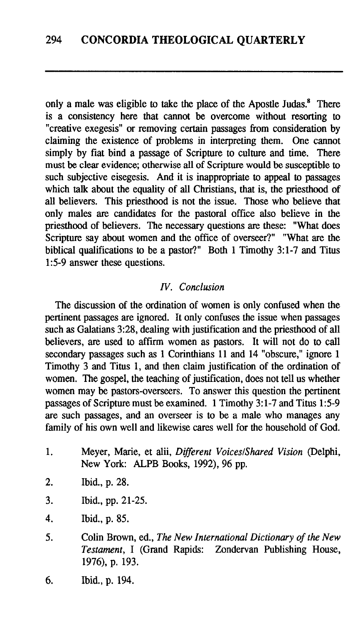only a male was eligible to take the place of the Apostle Judas. $<sup>8</sup>$  There</sup> is a consistency here that cannot be overcome without resorting to "creative exegesis" or removing certain passages from consideration by claiming the existence of problems in interpreting them. One cannot simply by fiat bind a passage of Scripture to culture and time. There must be clear evidence; otherwise ail of Scripture would be susceptible to such subjective eisegesis. And it is inappropriate to appeal to passages which talk about the equality of all Christians, that is, the priesthood of all believers. This priesthood is not the issue. Those who believe that only males are candidates for the pastoral office also believe in the priesthood of believers. The necessary questions are these: "What does Scripture say about women and the office of overseer?" "What are the biblical qualifications to be a pastor?" Both **1** Timothy **3:l-7** and Titus **15-9** answer these questions.

#### **N.** *Conclusion*

The discussion of the ordination of women is only confused when the pertinent passages are ignored. It only confuses the issue when passages such as Galatians **3:28,** dealing with justification and the priesthood of all believers, are used to affirm women as pastors. It will not do to call secondary passages such as 1 Corinthians **11** and **14** "obscure," ignore **<sup>1</sup>** Timothy **3** and Titus **1,** and then claim justification of the ordination of women. The gospel, the teaching of justification, does not tell us whether women may be pastors-overseers. To answer this question the pertinent passages of Scripture must be examined. **1** Timothy **3:l-7** and Titus **15-9**  are such passages, and an overseer is to be a male who manages any family of his own well and likewise cares well for the household of God.

- 1. Meyer, Marie, et alii, *Different Voices/Shared Vision (Delphi,* New York: ALPB Books, **1992), 96** pp.
- **2.** Ibid., p. **28.**
- **3.** Ibid., pp. **21-25.**
- 4. Ibid., p. **85.**
- **5.** Colin Brown, ed., *The New International Dictionary of the New Testament,* I (Grand Rapids: Zondervan Publishing House, **1976),** p. **193.**
- 6. Ibid., p. **194.**